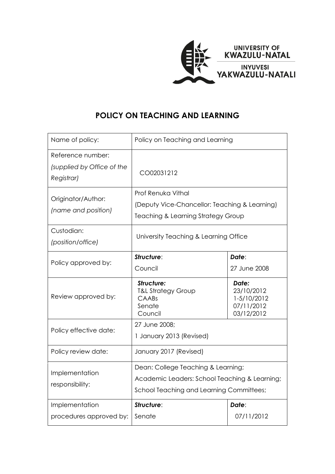

# **POLICY ON TEACHING AND LEARNING**

| Name of policy:                                               | Policy on Teaching and Learning                                                                                                        |                                                                |
|---------------------------------------------------------------|----------------------------------------------------------------------------------------------------------------------------------------|----------------------------------------------------------------|
| Reference number:<br>(supplied by Office of the<br>Registrar) | CO02031212                                                                                                                             |                                                                |
| Originator/Author:<br>(name and position)                     | Prof Renuka Vithal<br>(Deputy Vice-Chancellor: Teaching & Learning)<br>Teaching & Learning Strategy Group                              |                                                                |
| Custodian:<br>(position/office)                               | University Teaching & Learning Office                                                                                                  |                                                                |
| Policy approved by:                                           | Structure:<br>Council                                                                                                                  | Date:<br>27 June 2008                                          |
| Review approved by:                                           | Structure:<br><b>T&amp;L Strategy Group</b><br>CAABs<br>Senate<br>Council                                                              | Date:<br>23/10/2012<br>1-5/10/2012<br>07/11/2012<br>03/12/2012 |
| Policy effective date:                                        | 27 June 2008;<br>1 January 2013 (Revised)                                                                                              |                                                                |
| Policy review date:                                           | January 2017 (Revised)                                                                                                                 |                                                                |
| Implementation<br>responsibility:                             | Dean: College Teaching & Learning;<br>Academic Leaders: School Teaching & Learning;<br><b>School Teaching and Learning Committees;</b> |                                                                |
| Implementation<br>procedures approved by:                     | Structure:<br>Senate                                                                                                                   | Date:<br>07/11/2012                                            |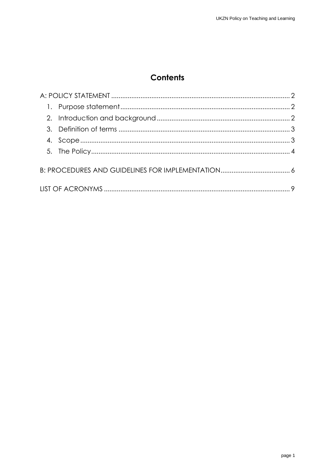# **Contents**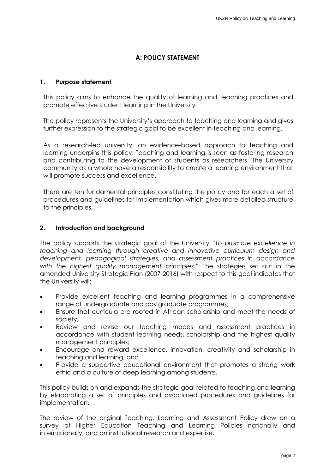# **A: POLICY STATEMENT**

#### <span id="page-2-1"></span><span id="page-2-0"></span>**1. Purpose statement**

This policy aims to enhance the quality of learning and teaching practices and promote effective student learning in the University

The policy represents the University's approach to teaching and learning and gives further expression to the strategic goal to be excellent in teaching and learning.

As a research-led university, an evidence-based approach to teaching and learning underpins this policy. Teaching and learning is seen as fostering research and contributing to the development of students as researchers. The University community as a whole have a responsibility to create a learning environment that will promote success and excellence.

There are ten fundamental principles constituting the policy and for each a set of procedures and guidelines for implementation which gives more detailed structure to the principles.

#### <span id="page-2-2"></span>**2. Introduction and background**

The policy supports the strategic goal of the University "*To promote excellence in teaching and learning through creative and innovative curriculum design and development, pedagogical strategies, and assessment practices in accordance with the highest quality management principles*." The strategies set out in the amended University Strategic Plan (2007-2016) with respect to this goal indicates that the University will:

- Provide excellent teaching and learning programmes in a comprehensive range of undergraduate and postgraduate programmes;
- Ensure that curricula are rooted in African scholarship and meet the needs of society;
- Review and revise our teaching modes and assessment practices in accordance with student learning needs, scholarship and the highest quality management principles;
- Encourage and reward excellence, innovation, creativity and scholarship in teaching and learning; and
- Provide a supportive educational environment that promotes a strong work ethic and a culture of deep learning among students.

This policy builds on and expands the strategic goal related to teaching and learning by elaborating a set of principles and associated procedures and guidelines for implementation.

The review of the original Teaching, Learning and Assessment Policy drew on a survey of Higher Education Teaching and Learning Policies nationally and internationally; and on institutional research and expertise.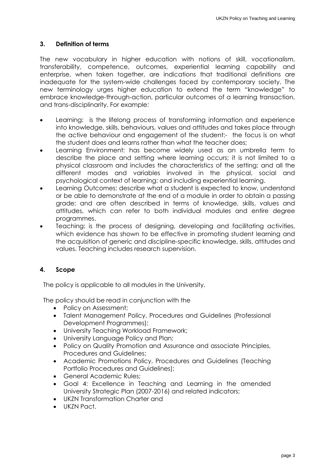### <span id="page-3-0"></span>**3. Definition of terms**

The new vocabulary in higher education with notions of skill, vocationalism, transferability, competence, outcomes, experiential learning capability and enterprise, when taken together, are indications that traditional definitions are inadequate for the system-wide challenges faced by contemporary society. The new terminology urges higher education to extend the term "knowledge" to embrace knowledge-through-action, particular outcomes of a learning transaction, and trans-disciplinarity. For example:

- Learning: is the lifelong process of transforming information and experience into knowledge, skills, behaviours, values and attitudes and takes place through the active behaviour and engagement of the student:- the focus is on what the student does and learns rather than what the teacher does;
- Learning Environment: has become widely used as an umbrella term to describe the place and setting where learning occurs; it is not limited to a physical classroom and includes the characteristics of the setting; and all the different modes and variables involved in the physical, social and psychological context of learning; and including experiential learning.
- Learning Outcomes: describe what a student is expected to know, understand or be able to demonstrate at the end of a module in order to obtain a passing grade; and are often described in terms of knowledge, skills, values and attitudes, which can refer to both individual modules and entire degree programmes.
- Teaching: is the process of designing, developing and facilitating activities, which evidence has shown to be effective in promoting student learning and the acquisition of generic and discipline-specific knowledge, skills, attitudes and values. Teaching includes research supervision.

# <span id="page-3-1"></span>**4. Scope**

The policy is applicable to all modules in the University.

The policy should be read in conjunction with the

- Policy on Assessment:
- Talent Management Policy, Procedures and Guidelines (Professional Development Programmes);
- University Teaching Workload Framework;
- University Language Policy and Plan;
- Policy on Quality Promotion and Assurance and associate Principles, Procedures and Guidelines;
- Academic Promotions Policy, Procedures and Guidelines (Teaching Portfolio Procedures and Guidelines);
- General Academic Rules;
- Goal 4: Excellence in Teaching and Learning in the amended University Strategic Plan (2007-2016) and related indicators;
- UKZN Transformation Charter and
- UKZN Pact.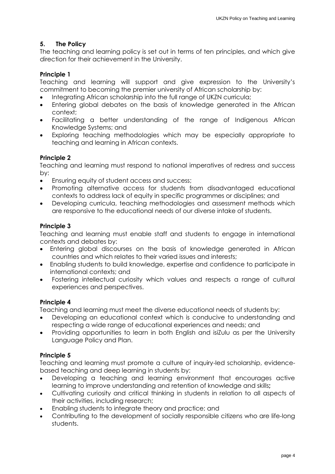# <span id="page-4-0"></span>**5. The Policy**

The teaching and learning policy is set out in terms of ten principles, and which give direction for their achievement in the University.

# **Principle 1**

Teaching and learning will support and give expression to the University's commitment to becoming the premier university of African scholarship by:

- Integrating African scholarship into the full range of UKZN curricula;
- Entering global debates on the basis of knowledge generated in the African context;
- Facilitating a better understanding of the range of Indigenous African Knowledge Systems; and
- Exploring teaching methodologies which may be especially appropriate to teaching and learning in African contexts.

### **Principle 2**

Teaching and learning must respond to national imperatives of redress and success by:

- Ensuring equity of student access and success;
- Promoting alternative access for students from disadvantaged educational contexts to address lack of equity in specific programmes or disciplines; and
- Developing curricula, teaching methodologies and assessment methods which are responsive to the educational needs of our diverse intake of students.

### **Principle 3**

Teaching and learning must enable staff and students to engage in international contexts and debates by:

- Entering global discourses on the basis of knowledge generated in African countries and which relates to their varied issues and interests;
- Enabling students to build knowledge, expertise and confidence to participate in international contexts; and
- Fostering intellectual curiosity which values and respects a range of cultural experiences and perspectives.

### **Principle 4**

Teaching and learning must meet the diverse educational needs of students by:

- Developing an educational context which is conducive to understanding and respecting a wide range of educational experiences and needs; and
- Providing opportunities to learn in both English and isiZulu as per the University Language Policy and Plan.

### **Principle 5**

Teaching and learning must promote a culture of inquiry-led scholarship, evidencebased teaching and deep learning in students by:

- Developing a teaching and learning environment that encourages active learning to improve understanding and retention of knowledge and skills**;**
- Cultivating curiosity and critical thinking in students in relation to all aspects of their activities, including research;
- Enabling students to integrate theory and practice; and
- Contributing to the development of socially responsible citizens who are life-long students.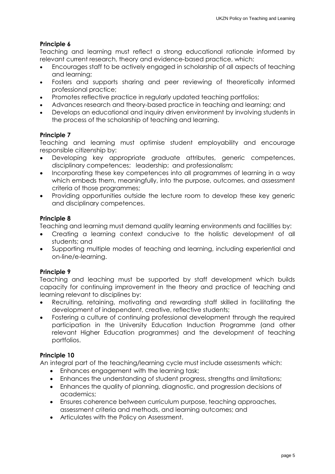# **Principle 6**

Teaching and learning must reflect a strong educational rationale informed by relevant current research, theory and evidence-based practice, which:

- Encourages staff to be actively engaged in scholarship of all aspects of teaching and learning;
- Fosters and supports sharing and peer reviewing of theoretically informed professional practice;
- Promotes reflective practice in regularly updated teaching portfolios;
- Advances research and theory-based practice in teaching and learning; and
- Develops an educational and inquiry driven environment by involving students in the process of the scholarship of teaching and learning.

### **Principle 7**

Teaching and learning must optimise student employability and encourage responsible citizenship by:

- Developing key appropriate graduate attributes, generic competences, disciplinary competences; leadership; and professionalism;
- Incorporating these key competences into all programmes of learning in a way which embeds them, meaningfully, into the purpose, outcomes, and assessment criteria of those programmes;
- Providing opportunities outside the lecture room to develop these key generic and disciplinary competences.

### **Principle 8**

Teaching and learning must demand quality learning environments and facilities by:

- Creating a learning context conducive to the holistic development of all students; and
- Supporting multiple modes of teaching and learning, including experiential and on-line/e-learning.

### **Principle 9**

Teaching and leaching must be supported by staff development which builds capacity for continuing improvement in the theory and practice of teaching and learning relevant to disciplines by:

- Recruiting, retaining, motivating and rewarding staff skilled in facilitating the development of independent, creative, reflective students;
- Fostering a culture of continuing professional development through the required participation in the University Education Induction Programme (and other relevant Higher Education programmes) and the development of teaching portfolios.

### **Principle 10**

An integral part of the teaching/learning cycle must include assessments which:

- Enhances engagement with the learning task;
- Enhances the understanding of student progress, strengths and limitations;
- Enhances the quality of planning, diagnostic, and progression decisions of academics;
- Ensures coherence between curriculum purpose, teaching approaches, assessment criteria and methods, and learning outcomes; and
- Articulates with the Policy on Assessment.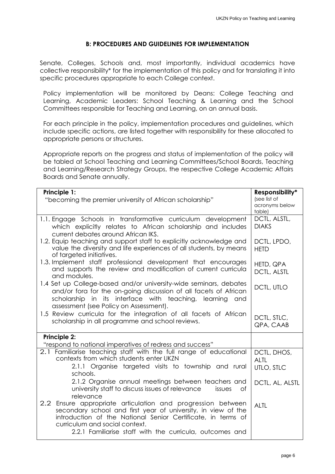### **B: PROCEDURES AND GUIDELINES FOR IMPLEMENTATION**

<span id="page-6-0"></span>Senate, Colleges, Schools and, most importantly, individual academics have collective responsibility\* for the implementation of this policy and for translating it into specific procedures appropriate to each College context.

Policy implementation will be monitored by Deans: College Teaching and Learning, Academic Leaders: School Teaching & Learning and the School Committees responsible for Teaching and Learning, on an annual basis.

For each principle in the policy, implementation procedures and guidelines, which include specific actions, are listed together with responsibility for these allocated to appropriate persons or structures.

Appropriate reports on the progress and status of implementation of the policy will be tabled at School Teaching and Learning Committees/School Boards, Teaching and Learning/Research Strategy Groups, the respective College Academic Affairs Boards and Senate annually.

| Principle 1:<br>"becoming the premier university of African scholarship"                                                                                                                                                                                                                   | Responsibility*<br>(see list of<br>acronyms below<br>table) |
|--------------------------------------------------------------------------------------------------------------------------------------------------------------------------------------------------------------------------------------------------------------------------------------------|-------------------------------------------------------------|
| 1.1. Engage Schools in transformative curriculum development<br>which explicitly relates to African scholarship and includes<br>current debates around African IKS.                                                                                                                        | DCTL, ALSTL,<br><b>DIAKS</b>                                |
| 1.2. Equip teaching and support staff to explicitly acknowledge and<br>value the diversity and life experiences of all students, by means<br>of targeted initiatives.                                                                                                                      | DCTL, LPDO,<br><b>HETD</b>                                  |
| 1.3. Implement staff professional development that encourages<br>and supports the review and modification of current curricula<br>and modules.                                                                                                                                             | HETD, QPA<br><b>DCTL, ALSTL</b>                             |
| 1.4 Set up College-based and/or university-wide seminars, debates<br>and/or fora for the on-going discussion of all facets of African<br>scholarship in its interface with teaching, learning and<br>assessment (see Policy on Assessment).                                                | DCTL, UTLO                                                  |
| 1.5 Review curricula for the integration of all facets of African<br>scholarship in all programme and school reviews.                                                                                                                                                                      | DCTL, STLC,<br>QPA, CAAB                                    |
| <b>Principle 2:</b><br>"respond to national imperatives of redress and success"                                                                                                                                                                                                            |                                                             |
| 2.1 Familiarise teaching staff with the full range of educational<br>contexts from which students enter UKZN<br>2.1.1 Organise targeted visits to township and rural<br>schools.                                                                                                           | DCTL, DHOS,<br><b>ALTL</b><br>UTLO, STLC                    |
| 2.1.2 Organise annual meetings between teachers and<br>university staff to discuss issues of relevance<br>of<br>issues<br>relevance                                                                                                                                                        | DCTL, AL, ALSTL                                             |
| 2.2 Ensure appropriate articulation and progression between<br>secondary school and first year of university, in view of the<br>introduction of the National Senior Certificate, in terms of<br>curriculum and social context.<br>2.2.1 Familiarise staff with the curricula, outcomes and | <b>ALTL</b>                                                 |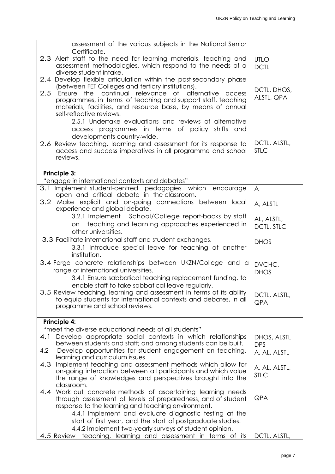| assessment of the various subjects in the National Senior                                                                                     |                             |
|-----------------------------------------------------------------------------------------------------------------------------------------------|-----------------------------|
| Certificate.<br>2.3 Alert staff to the need for learning materials, teaching and<br>assessment methodologies, which respond to the needs of a | <b>UTLO</b>                 |
| diverse student intake.                                                                                                                       | <b>DCTL</b>                 |
| 2.4 Develop flexible articulation within the post-secondary phase<br>(between FET Colleges and tertiary institutions).                        |                             |
| Ensure the continual relevance of alternative<br>2.5<br>access                                                                                | DCTL, DHOS,<br>ALSTL, QPA   |
| programmes, in terms of teaching and support staff, teaching                                                                                  |                             |
| materials, facilities, and resource base, by means of annual<br>self-reflective reviews.                                                      |                             |
| 2.5.1 Undertake evaluations and reviews of alternative                                                                                        |                             |
| access programmes in terms of policy shifts and                                                                                               |                             |
| developments country-wide.                                                                                                                    |                             |
| 2.6 Review teaching, learning and assessment for its response to<br>access and success imperatives in all programme and school                | DCTL, ALSTL,<br><b>STLC</b> |
| reviews.                                                                                                                                      |                             |
|                                                                                                                                               |                             |
| <b>Principle 3:</b>                                                                                                                           |                             |
| "engage in international contexts and debates"                                                                                                |                             |
| 3.1 Implement student-centred pedagogies which encourage<br>open and critical debate in the classroom.                                        | $\overline{A}$              |
| 3.2 Make explicit and on-going connections between local                                                                                      | A, ALSTL                    |
| experience and global debate.                                                                                                                 |                             |
| 3.2.1 Implement School/College report-backs by staff                                                                                          | AL, ALSTL,                  |
| teaching and learning approaches experienced in<br>on.<br>other universities.                                                                 | DCTL, STLC                  |
| 3.3 Facilitate international staff and student exchanges.                                                                                     | <b>DHOS</b>                 |
| 3.3.1 Introduce special leave for teaching at another                                                                                         |                             |
| institution.                                                                                                                                  |                             |
| 3.4 Forge concrete relationships between UKZN/College and a<br>range of international universities.                                           | DVCHC,                      |
| 3.4.1 Ensure sabbatical teaching replacement funding, to                                                                                      | <b>DHOS</b>                 |
| enable staff to take sabbatical leave regularly.                                                                                              |                             |
| 3.5 Review teaching, learning and assessment in terms of its ability                                                                          | DCTL, ALSTL,                |
| to equip students for international contexts and debates, in all<br>programme and school reviews.                                             | <b>QPA</b>                  |
|                                                                                                                                               |                             |
| <b>Principle 4:</b>                                                                                                                           |                             |
| "meet the diverse educational needs of all students"                                                                                          |                             |
| Develop appropriate social contexts in which relationships<br>4.1                                                                             | DHOS, ALSTL                 |
| between students and staff; and among students can be built.<br>Develop opportunities for student engagement on teaching,<br>4.2              | <b>DPS</b>                  |
| learning and curriculum issues.                                                                                                               | A, AL, ALSTL                |
| Implement teaching and assessment methods which allow for<br>4.3                                                                              | A, AL, ALSTL,               |
| on-going interaction between all participants and which value                                                                                 | <b>STLC</b>                 |
| the range of knowledges and perspectives brought into the<br>classroom.                                                                       |                             |
| 4.4 Work out concrete methods of ascertaining learning needs                                                                                  |                             |
| through assessment of levels of preparedness, and of student                                                                                  | <b>QPA</b>                  |
| response to the learning and teaching environment.                                                                                            |                             |
| 4.4.1 Implement and evaluate diagnostic testing at the<br>start of first year, and the start of postgraduate studies.                         |                             |
| 4.4.2 Implement two-yearly surveys of student opinion.                                                                                        |                             |
| teaching, learning and assessment in terms of its<br>4.5 Review                                                                               | DCTL, ALSTL,                |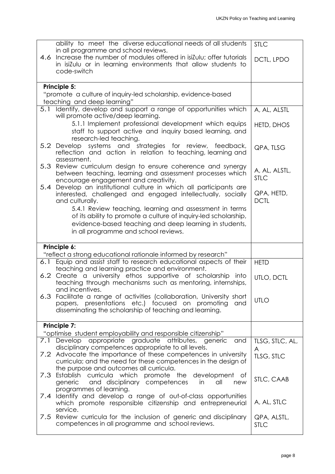|     | ability to meet the diverse educational needs of all students                                                                    | <b>STLC</b>               |
|-----|----------------------------------------------------------------------------------------------------------------------------------|---------------------------|
|     | in all programme and school reviews.                                                                                             |                           |
| 4.6 | Increase the number of modules offered in isiZulu; offer tutorials                                                               | DCTL, LPDO                |
|     | in isizulu or in learning environments that allow students to<br>code-switch                                                     |                           |
|     |                                                                                                                                  |                           |
|     | Principle 5:                                                                                                                     |                           |
|     |                                                                                                                                  |                           |
|     | "promote a culture of inquiry-led scholarship, evidence-based<br>teaching and deep learning"                                     |                           |
| 5.1 | Identify, develop and support a range of opportunities which                                                                     | A, AL, ALSTL              |
|     | will promote active/deep learning.                                                                                               |                           |
|     | 5.1.1 Implement professional development which equips                                                                            | HETD, DHOS                |
|     | staff to support active and inquiry based learning, and                                                                          |                           |
|     | research-led teaching.                                                                                                           |                           |
|     | 5.2 Develop systems and strategies for review, feedback,                                                                         | QPA, TLSG                 |
|     | reflection and action in relation to teaching, learning and<br>assessment.                                                       |                           |
|     | 5.3 Review curriculum design to ensure coherence and synergy                                                                     |                           |
|     | between teaching, learning and assessment processes which                                                                        | A, AL, ALSTL,             |
|     | encourage engagement and creativity.                                                                                             | <b>STLC</b>               |
|     | 5.4 Develop an institutional culture in which all participants are                                                               |                           |
|     | interested, challenged and engaged intellectually, socially                                                                      | QPA, HETD,<br><b>DCTL</b> |
|     | and culturally.                                                                                                                  |                           |
|     | 5.4.1 Review teaching, learning and assessment in terms<br>of its ability to promote a culture of inquiry-led scholarship,       |                           |
|     | evidence-based teaching and deep learning in students,                                                                           |                           |
|     | in all programme and school reviews.                                                                                             |                           |
|     |                                                                                                                                  |                           |
|     |                                                                                                                                  |                           |
|     | Principle 6:                                                                                                                     |                           |
|     | "reflect a strong educational rationale informed by research"                                                                    |                           |
|     | 6.1 Equip and assist staff to research educational aspects of their                                                              | <b>HETD</b>               |
|     | teaching and learning practice and environment.                                                                                  |                           |
|     | 6.2 Create a university ethos supportive of scholarship into                                                                     | UTLO, DCTL                |
|     | teaching through mechanisms such as mentoring, internships,                                                                      |                           |
|     | and incentives.                                                                                                                  |                           |
|     | 6.3 Facilitate a range of activities (collaboration, University short<br>papers, presentations etc.) focused on promoting<br>and | <b>UTLO</b>               |
|     | disseminating the scholarship of teaching and learning.                                                                          |                           |
|     |                                                                                                                                  |                           |
|     | Principle 7:                                                                                                                     |                           |
|     | "optimise student employability and responsible citizenship"                                                                     |                           |
|     | appropriate graduate attributes, generic and<br>7.1 Develop                                                                      | TLSG, STLC, AL,           |
|     | disciplinary competences appropriate to all levels.                                                                              | A                         |
|     | 7.2 Advocate the importance of these competences in university<br>curricula; and the need for these competences in the design of | TLSG, STLC                |
|     | the purpose and outcomes all curricula.                                                                                          |                           |
|     | 7.3 Establish curricula which promote the<br>development of                                                                      |                           |
|     | and disciplinary competences<br>generic<br>all<br>in<br>new                                                                      | STLC, CAAB                |
|     | programmes of learning.                                                                                                          |                           |
| 7.4 | Identify and develop a range of out-of-class opportunities                                                                       | A, AL, STLC               |
|     | which promote responsible citizenship and entrepreneurial<br>service.                                                            |                           |
| 7.5 | Review curricula for the inclusion of generic and disciplinary                                                                   | QPA, ALSTL,               |
|     | competences in all programme and school reviews.                                                                                 | <b>STLC</b>               |